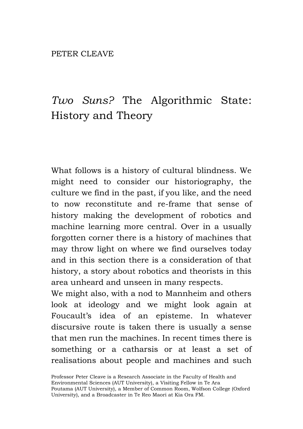## *Two Suns?* The Algorithmic State: History and Theory

What follows is a history of cultural blindness. We might need to consider our historiography, the culture we find in the past, if you like, and the need to now reconstitute and re-frame that sense of history making the development of robotics and machine learning more central. Over in a usually forgotten corner there is a history of machines that may throw light on where we find ourselves today and in this section there is a consideration of that history, a story about robotics and theorists in this area unheard and unseen in many respects.

We might also, with a nod to Mannheim and others look at ideology and we might look again at Foucault's idea of an episteme. In whatever discursive route is taken there is usually a sense that men run the machines. In recent times there is something or a catharsis or at least a set of realisations about people and machines and such

Professor Peter Cleave is a Research Associate in the Faculty of Health and Environmental Sciences (AUT University), a Visiting Fellow in Te Ara Poutama (AUT University), a Member of Common Room, Wolfson College (Oxford University), and a Broadcaster in Te Reo Maori at Kia Ora FM.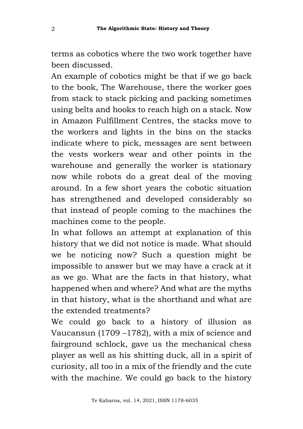terms as cobotics where the two work together have been discussed.

An example of cobotics might be that if we go back to the book, The Warehouse, there the worker goes from stack to stack picking and packing sometimes using belts and hooks to reach high on a stack. Now in Amazon Fulfillment Centres, the stacks move to the workers and lights in the bins on the stacks indicate where to pick, messages are sent between the vests workers wear and other points in the warehouse and generally the worker is stationary now while robots do a great deal of the moving around. In a few short years the cobotic situation has strengthened and developed considerably so that instead of people coming to the machines the machines come to the people.

In what follows an attempt at explanation of this history that we did not notice is made. What should we be noticing now? Such a question might be impossible to answer but we may have a crack at it as we go. What are the facts in that history, what happened when and where? And what are the myths in that history, what is the shorthand and what are the extended treatments?

We could go back to a history of illusion as Vaucansun (1709 –1782), with a mix of science and fairground schlock, gave us the mechanical chess player as well as his shitting duck, all in a spirit of curiosity, all too in a mix of the friendly and the cute with the machine. We could go back to the history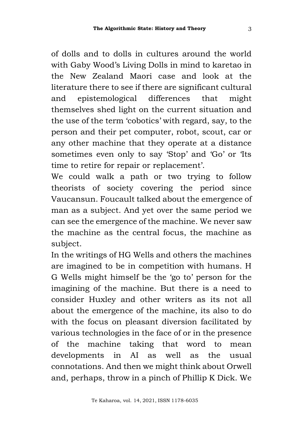of dolls and to dolls in cultures around the world with Gaby Wood's Living Dolls in mind to karetao in the New Zealand Maori case and look at the literature there to see if there are significant cultural and epistemological differences that might themselves shed light on the current situation and the use of the term 'cobotics' with regard, say, to the person and their pet computer, robot, scout, car or any other machine that they operate at a distance sometimes even only to say 'Stop' and 'Go' or 'Its time to retire for repair or replacement'.

We could walk a path or two trying to follow theorists of society covering the period since Vaucansun. Foucault talked about the emergence of man as a subject. And yet over the same period we can see the emergence of the machine. We never saw the machine as the central focus, the machine as subject.

In the writings of HG Wells and others the machines are imagined to be in competition with humans. H G Wells might himself be the 'go to' person for the imagining of the machine. But there is a need to consider Huxley and other writers as its not all about the emergence of the machine, its also to do with the focus on pleasant diversion facilitated by various technologies in the face of or in the presence of the machine taking that word to mean developments in AI as well as the usual connotations. And then we might think about Orwell and, perhaps, throw in a pinch of Phillip K Dick. We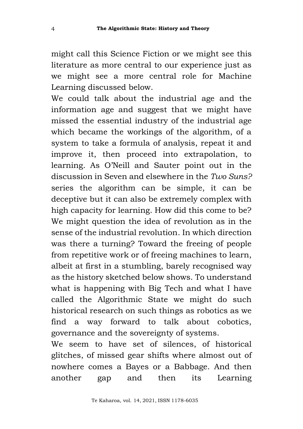might call this Science Fiction or we might see this literature as more central to our experience just as we might see a more central role for Machine Learning discussed below.

We could talk about the industrial age and the information age and suggest that we might have missed the essential industry of the industrial age which became the workings of the algorithm, of a system to take a formula of analysis, repeat it and improve it, then proceed into extrapolation, to learning. As O'Neill and Sauter point out in the discussion in Seven and elsewhere in the *Two Suns?* series the algorithm can be simple, it can be deceptive but it can also be extremely complex with high capacity for learning. How did this come to be? We might question the idea of revolution as in the sense of the industrial revolution. In which direction was there a turning? Toward the freeing of people from repetitive work or of freeing machines to learn, albeit at first in a stumbling, barely recognised way as the history sketched below shows. To understand what is happening with Big Tech and what I have called the Algorithmic State we might do such historical research on such things as robotics as we find a way forward to talk about cobotics, governance and the sovereignty of systems.

We seem to have set of silences, of historical glitches, of missed gear shifts where almost out of nowhere comes a Bayes or a Babbage. And then another gap and then its Learning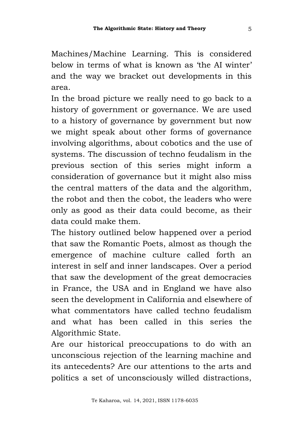Machines/Machine Learning. This is considered below in terms of what is known as 'the AI winter' and the way we bracket out developments in this area.

In the broad picture we really need to go back to a history of government or governance. We are used to a history of governance by government but now we might speak about other forms of governance involving algorithms, about cobotics and the use of systems. The discussion of techno feudalism in the previous section of this series might inform a consideration of governance but it might also miss the central matters of the data and the algorithm, the robot and then the cobot, the leaders who were only as good as their data could become, as their data could make them.

The history outlined below happened over a period that saw the Romantic Poets, almost as though the emergence of machine culture called forth an interest in self and inner landscapes. Over a period that saw the development of the great democracies in France, the USA and in England we have also seen the development in California and elsewhere of what commentators have called techno feudalism and what has been called in this series the Algorithmic State.

Are our historical preoccupations to do with an unconscious rejection of the learning machine and its antecedents? Are our attentions to the arts and politics a set of unconsciously willed distractions,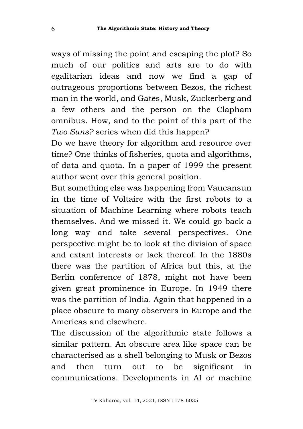ways of missing the point and escaping the plot? So much of our politics and arts are to do with egalitarian ideas and now we find a gap of outrageous proportions between Bezos, the richest man in the world, and Gates, Musk, Zuckerberg and a few others and the person on the Clapham omnibus. How, and to the point of this part of the *Two Suns?* series when did this happen?

Do we have theory for algorithm and resource over time? One thinks of fisheries, quota and algorithms, of data and quota. In a paper of 1999 the present author went over this general position.

But something else was happening from Vaucansun in the time of Voltaire with the first robots to a situation of Machine Learning where robots teach themselves. And we missed it. We could go back a long way and take several perspectives. One perspective might be to look at the division of space and extant interests or lack thereof. In the 1880s there was the partition of Africa but this, at the Berlin conference of 1878, might not have been given great prominence in Europe. In 1949 there was the partition of India. Again that happened in a place obscure to many observers in Europe and the Americas and elsewhere.

The discussion of the algorithmic state follows a similar pattern. An obscure area like space can be characterised as a shell belonging to Musk or Bezos and then turn out to be significant in communications. Developments in AI or machine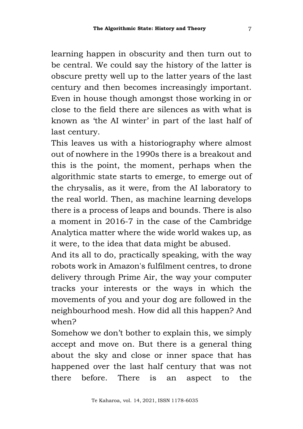learning happen in obscurity and then turn out to be central. We could say the history of the latter is obscure pretty well up to the latter years of the last century and then becomes increasingly important. Even in house though amongst those working in or close to the field there are silences as with what is known as 'the AI winter' in part of the last half of last century.

This leaves us with a historiography where almost out of nowhere in the 1990s there is a breakout and this is the point, the moment, perhaps when the algorithmic state starts to emerge, to emerge out of the chrysalis, as it were, from the AI laboratory to the real world. Then, as machine learning develops there is a process of leaps and bounds. There is also a moment in 2016-7 in the case of the Cambridge Analytica matter where the wide world wakes up, as it were, to the idea that data might be abused.

And its all to do, practically speaking, with the way robots work in Amazon's fulfilment centres, to drone delivery through Prime Air, the way your computer tracks your interests or the ways in which the movements of you and your dog are followed in the neighbourhood mesh. How did all this happen? And when?

Somehow we don't bother to explain this, we simply accept and move on. But there is a general thing about the sky and close or inner space that has happened over the last half century that was not there before. There is an aspect to the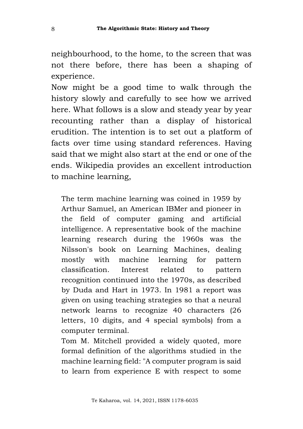neighbourhood, to the home, to the screen that was not there before, there has been a shaping of experience.

Now might be a good time to walk through the history slowly and carefully to see how we arrived here. What follows is a slow and steady year by year recounting rather than a display of historical erudition. The intention is to set out a platform of facts over time using standard references. Having said that we might also start at the end or one of the ends. Wikipedia provides an excellent introduction to machine learning,

The term machine learning was coined in 1959 by Arthur Samuel, an American IBMer and pioneer in the field of computer gaming and artificial intelligence. A representative book of the machine learning research during the 1960s was the Nilsson's book on Learning Machines, dealing mostly with machine learning for pattern classification. Interest related to pattern recognition continued into the 1970s, as described by Duda and Hart in 1973. In 1981 a report was given on using teaching strategies so that a neural network learns to recognize 40 characters (26 letters, 10 digits, and 4 special symbols) from a computer terminal.

Tom M. Mitchell provided a widely quoted, more formal definition of the algorithms studied in the machine learning field: "A computer program is said to learn from experience E with respect to some

Te Kaharoa, vol. 14, 2021, ISSN 1178-6035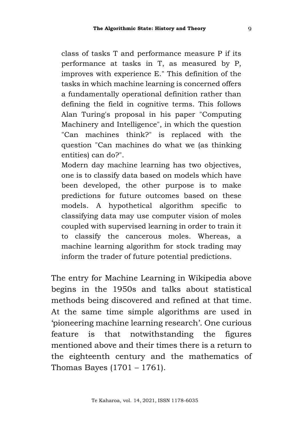class of tasks T and performance measure P if its performance at tasks in T, as measured by P, improves with experience E." This definition of the tasks in which machine learning is concerned offers a fundamentally operational definition rather than defining the field in cognitive terms. This follows Alan Turing's proposal in his paper "Computing Machinery and Intelligence", in which the question "Can machines think?" is replaced with the question "Can machines do what we (as thinking entities) can do?".

Modern day machine learning has two objectives, one is to classify data based on models which have been developed, the other purpose is to make predictions for future outcomes based on these models. A hypothetical algorithm specific to classifying data may use computer vision of moles coupled with supervised learning in order to train it to classify the cancerous moles. Whereas, a machine learning algorithm for stock trading may inform the trader of future potential predictions.

The entry for Machine Learning in Wikipedia above begins in the 1950s and talks about statistical methods being discovered and refined at that time. At the same time simple algorithms are used in 'pioneering machine learning research'. One curious feature is that notwithstanding the figures mentioned above and their times there is a return to the eighteenth century and the mathematics of Thomas Bayes (1701 – 1761).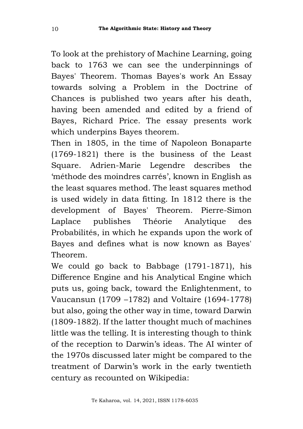To look at the prehistory of Machine Learning, going back to 1763 we can see the underpinnings of Bayes' Theorem. Thomas Bayes's work An Essay towards solving a Problem in the Doctrine of Chances is published two years after his death, having been amended and edited by a friend of Bayes, Richard Price. The essay presents work which underpins Bayes theorem.

Then in 1805, in the time of Napoleon Bonaparte (1769-1821) there is the business of the Least Square. Adrien-Marie Legendre describes the 'méthode des moindres carrés', known in English as the least squares method. The least squares method is used widely in data fitting. In 1812 there is the development of Bayes' Theorem. Pierre-Simon Laplace publishes Théorie Analytique des Probabilités, in which he expands upon the work of Bayes and defines what is now known as Bayes' Theorem.

We could go back to Babbage (1791-1871), his Difference Engine and his Analytical Engine which puts us, going back, toward the Enlightenment, to Vaucansun (1709 –1782) and Voltaire (1694-1778) but also, going the other way in time, toward Darwin (1809-1882). If the latter thought much of machines little was the telling. It is interesting though to think of the reception to Darwin's ideas. The AI winter of the 1970s discussed later might be compared to the treatment of Darwin's work in the early twentieth century as recounted on Wikipedia: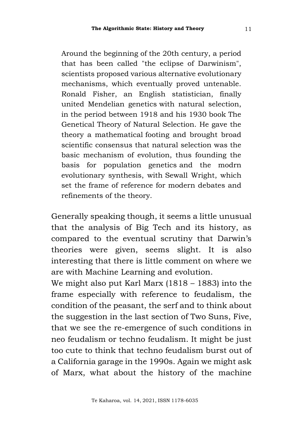Around the beginning of the 20th century, a period that has been called "the eclipse of Darwinism", scientists proposed various alternative evolutionary mechanisms, which eventually proved untenable. Ronald Fisher, an English statistician, finally united Mendelian genetics with natural selection, in the period between 1918 and his 1930 book The Genetical Theory of Natural Selection. He gave the theory a mathematical footing and brought broad scientific consensus that natural selection was the basic mechanism of evolution, thus founding the basis for population genetics and the modrn evolutionary synthesis, with Sewall Wright, which set the frame of reference for modern debates and refinements of the theory.

Generally speaking though, it seems a little unusual that the analysis of Big Tech and its history, as compared to the eventual scrutiny that Darwin's theories were given, seems slight. It is also interesting that there is little comment on where we are with Machine Learning and evolution.

We might also put Karl Marx (1818 – 1883) into the frame especially with reference to feudalism, the condition of the peasant, the serf and to think about the suggestion in the last section of Two Suns, Five, that we see the re-emergence of such conditions in neo feudalism or techno feudalism. It might be just too cute to think that techno feudalism burst out of a California garage in the 1990s. Again we might ask of Marx, what about the history of the machine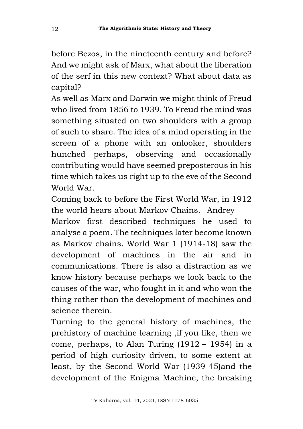before Bezos, in the nineteenth century and before? And we might ask of Marx, what about the liberation of the serf in this new context? What about data as capital?

As well as Marx and Darwin we might think of Freud who lived from 1856 to 1939. To Freud the mind was something situated on two shoulders with a group of such to share. The idea of a mind operating in the screen of a phone with an onlooker, shoulders hunched perhaps, observing and occasionally contributing would have seemed preposterous in his time which takes us right up to the eve of the Second World War.

Coming back to before the First World War, in 1912 the world hears about Markov Chains. Andrey

Markov first described techniques he used to analyse a poem. The techniques later become known as Markov chains. World War 1 (1914-18) saw the development of machines in the air and in communications. There is also a distraction as we know history because perhaps we look back to the causes of the war, who fought in it and who won the thing rather than the development of machines and science therein.

Turning to the general history of machines, the prehistory of machine learning ,if you like, then we come, perhaps, to Alan Turing (1912 – 1954) in a period of high curiosity driven, to some extent at least, by the Second World War (1939-45)and the development of the Enigma Machine, the breaking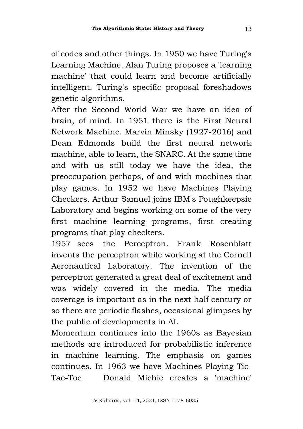of codes and other things. In 1950 we have Turing's Learning Machine. Alan Turing proposes a 'learning machine' that could learn and become artificially intelligent. Turing's specific proposal foreshadows genetic algorithms.

After the Second World War we have an idea of brain, of mind. In 1951 there is the First Neural Network Machine. Marvin Minsky (1927-2016) and Dean Edmonds build the first neural network machine, able to learn, the SNARC. At the same time and with us still today we have the idea, the preoccupation perhaps, of and with machines that play games. In 1952 we have Machines Playing Checkers. Arthur Samuel joins IBM's Poughkeepsie Laboratory and begins working on some of the very first machine learning programs, first creating programs that play checkers.

1957 sees the Perceptron. Frank Rosenblatt invents the perceptron while working at the Cornell Aeronautical Laboratory. The invention of the perceptron generated a great deal of excitement and was widely covered in the media. The media coverage is important as in the next half century or so there are periodic flashes, occasional glimpses by the public of developments in AI.

Momentum continues into the 1960s as Bayesian methods are introduced for probabilistic inference in machine learning. The emphasis on games continues. In 1963 we have Machines Playing Tic-Tac-Toe Donald Michie creates a 'machine'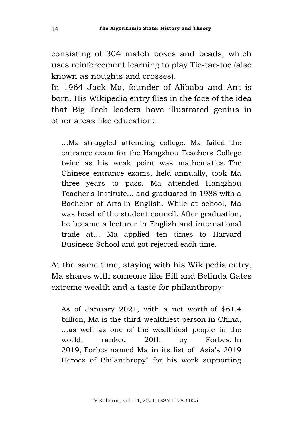consisting of 304 match boxes and beads, which uses reinforcement learning to play Tic-tac-toe (also known as noughts and crosses).

In 1964 Jack Ma, founder of Alibaba and Ant is born. His Wikipedia entry flies in the face of the idea that Big Tech leaders have illustrated genius in other areas like education:

...Ma struggled attending college. Ma failed the entrance exam for the Hangzhou Teachers College twice as his weak point was mathematics. The Chinese entrance exams, held annually, took Ma three years to pass. Ma attended Hangzhou Teacher's Institute... and graduated in 1988 with a Bachelor of Arts in English. While at school, Ma was head of the student council. After graduation, he became a lecturer in English and international trade at… Ma applied ten times to Harvard Business School and got rejected each time.

At the same time, staying with his Wikipedia entry, Ma shares with someone like Bill and Belinda Gates extreme wealth and a taste for philanthropy:

As of January 2021, with a net worth of \$61.4 billion, Ma is the third-wealthiest person in China, ...as well as one of the wealthiest people in the world, ranked 20th by Forbes. In 2019, Forbes named Ma in its list of "Asia's 2019 Heroes of Philanthropy" for his work supporting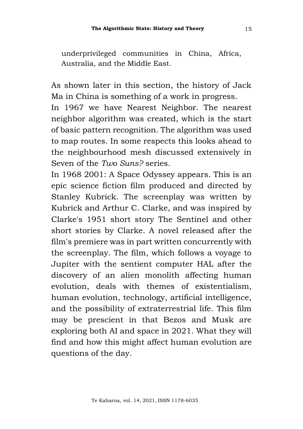underprivileged communities in China, Africa, Australia, and the Middle East.

As shown later in this section, the history of Jack Ma in China is something of a work in progress.

In 1967 we have Nearest Neighbor. The nearest neighbor algorithm was created, which is the start of basic pattern recognition. The algorithm was used to map routes. In some respects this looks ahead to the neighbourhood mesh discussed extensively in Seven of the *Two Suns?* series.

In 1968 2001: A Space Odyssey appears. This is an epic science fiction film produced and directed by Stanley Kubrick. The screenplay was written by Kubrick and Arthur C. Clarke, and was inspired by Clarke's 1951 short story The Sentinel and other short stories by Clarke. A novel released after the film's premiere was in part written concurrently with the screenplay. The film, which follows a voyage to Jupiter with the sentient computer HAL after the discovery of an alien monolith affecting human evolution, deals with themes of existentialism, human evolution, technology, artificial intelligence, and the possibility of extraterrestrial life. This film may be prescient in that Bezos and Musk are exploring both AI and space in 2021. What they will find and how this might affect human evolution are questions of the day.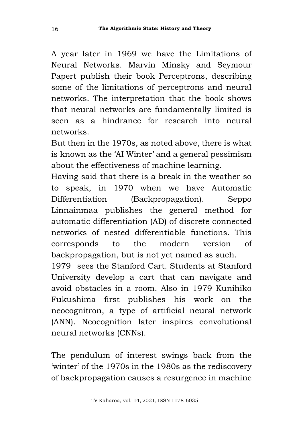A year later in 1969 we have the Limitations of Neural Networks. Marvin Minsky and Seymour Papert publish their book Perceptrons, describing some of the limitations of perceptrons and neural networks. The interpretation that the book shows that neural networks are fundamentally limited is seen as a hindrance for research into neural networks.

But then in the 1970s, as noted above, there is what is known as the 'AI Winter' and a general pessimism about the effectiveness of machine learning.

Having said that there is a break in the weather so to speak, in 1970 when we have Automatic Differentiation (Backpropagation). Seppo Linnainmaa publishes the general method for automatic differentiation (AD) of discrete connected networks of nested differentiable functions. This corresponds to the modern version of backpropagation, but is not yet named as such.

1979 sees the Stanford Cart. Students at Stanford University develop a cart that can navigate and avoid obstacles in a room. Also in 1979 Kunihiko Fukushima first publishes his work on the neocognitron, a type of artificial neural network (ANN). Neocognition later inspires convolutional neural networks (CNNs).

The pendulum of interest swings back from the 'winter' of the 1970s in the 1980s as the rediscovery of backpropagation causes a resurgence in machine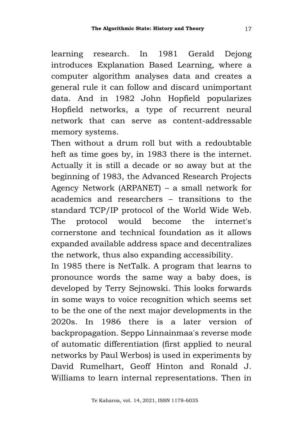learning research. In 1981 Gerald Dejong introduces Explanation Based Learning, where a computer algorithm analyses data and creates a general rule it can follow and discard unimportant data. And in 1982 John Hopfield popularizes Hopfield networks, a type of recurrent neural network that can serve as content-addressable memory systems.

Then without a drum roll but with a redoubtable heft as time goes by, in 1983 there is the internet. Actually it is still a decade or so away but at the beginning of 1983, the Advanced Research Projects Agency Network (ARPANET) – a small network for academics and researchers – transitions to the standard TCP/IP protocol of the World Wide Web. The protocol would become the internet's cornerstone and technical foundation as it allows expanded available address space and decentralizes the network, thus also expanding accessibility.

In 1985 there is NetTalk. A program that learns to pronounce words the same way a baby does, is developed by Terry Sejnowski. This looks forwards in some ways to voice recognition which seems set to be the one of the next major developments in the 2020s. In 1986 there is a later version of backpropagation. Seppo Linnainmaa's reverse mode of automatic differentiation (first applied to neural networks by Paul Werbos) is used in experiments by David Rumelhart, Geoff Hinton and Ronald J. Williams to learn internal representations. Then in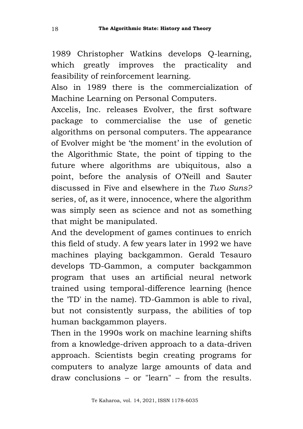1989 Christopher Watkins develops Q-learning, which greatly improves the practicality and feasibility of reinforcement learning.

Also in 1989 there is the commercialization of Machine Learning on Personal Computers.

Axcelis, Inc. releases Evolver, the first software package to commercialise the use of genetic algorithms on personal computers. The appearance of Evolver might be 'the moment' in the evolution of the Algorithmic State, the point of tipping to the future where algorithms are ubiquitous, also a point, before the analysis of O'Neill and Sauter discussed in Five and elsewhere in the *Two Suns?* series, of, as it were, innocence, where the algorithm was simply seen as science and not as something that might be manipulated.

And the development of games continues to enrich this field of study. A few years later in 1992 we have machines playing backgammon. Gerald Tesauro develops TD-Gammon, a computer backgammon program that uses an artificial neural network trained using temporal-difference learning (hence the 'TD' in the name). TD-Gammon is able to rival, but not consistently surpass, the abilities of top human backgammon players.

Then in the 1990s work on machine learning shifts from a knowledge-driven approach to a data-driven approach. Scientists begin creating programs for computers to analyze large amounts of data and draw conclusions – or "learn" – from the results.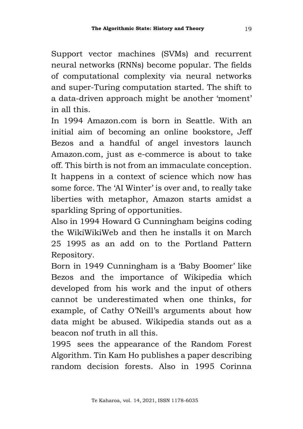Support vector machines (SVMs) and recurrent neural networks (RNNs) become popular. The fields of computational complexity via neural networks and super-Turing computation started. The shift to a data-driven approach might be another 'moment' in all this.

In 1994 Amazon.com is born in Seattle. With an initial aim of becoming an online bookstore, Jeff Bezos and a handful of angel investors launch Amazon.com, just as e-commerce is about to take off. This birth is not from an immaculate conception. It happens in a context of science which now has some force. The 'AI Winter' is over and, to really take liberties with metaphor, Amazon starts amidst a sparkling Spring of opportunities.

Also in 1994 Howard G Cunningham beigins coding the WikiWikiWeb and then he installs it on March 25 1995 as an add on to the Portland Pattern Repository.

Born in 1949 Cunningham is a 'Baby Boomer' like Bezos and the importance of Wikipedia which developed from his work and the input of others cannot be underestimated when one thinks, for example, of Cathy O'Neill's arguments about how data might be abused. Wikipedia stands out as a beacon nof truth in all this.

1995 sees the appearance of the Random Forest Algorithm. Tin Kam Ho publishes a paper describing random decision forests. Also in 1995 Corinna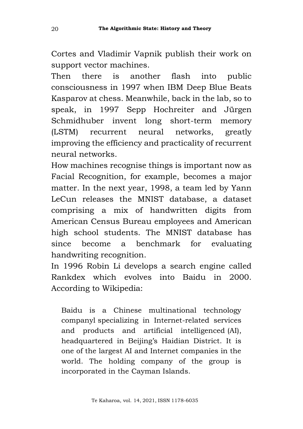Cortes and Vladimir Vapnik publish their work on support vector machines.

Then there is another flash into public consciousness in 1997 when IBM Deep Blue Beats Kasparov at chess. Meanwhile, back in the lab, so to speak, in 1997 Sepp Hochreiter and Jürgen Schmidhuber invent long short-term memory (LSTM) recurrent neural networks, greatly improving the efficiency and practicality of recurrent neural networks.

How machines recognise things is important now as Facial Recognition, for example, becomes a major matter. In the next year, 1998, a team led by Yann LeCun releases the MNIST database, a dataset comprising a mix of handwritten digits from American Census Bureau employees and American high school students. The MNIST database has since become a benchmark for evaluating handwriting recognition.

In 1996 Robin Li develops a search engine called Rankdex which evolves into Baidu in 2000. According to Wikipedia:

Baidu is a Chinese multinational technology companyl specializing in Internet-related services and products and artificial intelligenced (AI), headquartered in Beijing's Haidian District. It is one of the largest AI and Internet companies in the world. The holding company of the group is incorporated in the Cayman Islands.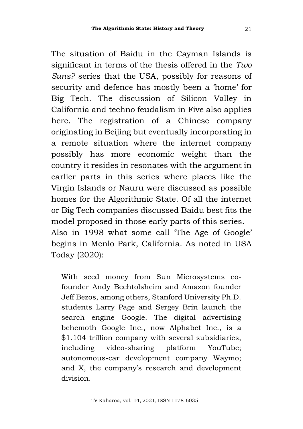The situation of Baidu in the Cayman Islands is significant in terms of the thesis offered in the *Two Suns?* series that the USA, possibly for reasons of security and defence has mostly been a 'home' for Big Tech. The discussion of Silicon Valley in California and techno feudalism in Five also applies here. The registration of a Chinese company originating in Beijing but eventually incorporating in a remote situation where the internet company possibly has more economic weight than the country it resides in resonates with the argument in earlier parts in this series where places like the Virgin Islands or Nauru were discussed as possible homes for the Algorithmic State. Of all the internet or Big Tech companies discussed Baidu best fits the model proposed in those early parts of this series. Also in 1998 what some call 'The Age of Google' begins in Menlo Park, California. As noted in USA Today (2020):

With seed money from Sun Microsystems cofounder Andy Bechtolsheim and Amazon founder Jeff Bezos, among others, Stanford University Ph.D. students Larry Page and Sergey Brin launch the search engine Google. The digital advertising behemoth Google Inc., now Alphabet Inc., is a \$1.104 trillion company with several subsidiaries, including video-sharing platform YouTube; autonomous-car development company Waymo; and X, the company's research and development division.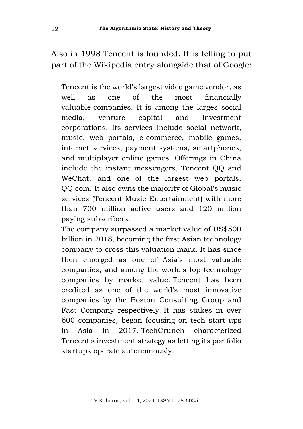Also in 1998 Tencent is founded. It is telling to put part of the Wikipedia entry alongside that of Google:

Tencent is the world's largest video game vendor, as well as one of the most financially valuable companies. It is among the larges social media, venture capital and investment corporations. Its services include social network, music, web portals, e-commerce, mobile games, internet services, payment systems, smartphones, and multiplayer online games. Offerings in China include the instant messengers, Tencent QQ and WeChat, and one of the largest web portals, QQ.com. It also owns the majority of Global's music services (Tencent Music Entertainment) with more than 700 million active users and 120 million paying subscribers.

The company surpassed a market value of US\$500 billion in 2018, becoming the first Asian technology company to cross this valuation mark. It has since then emerged as one of Asia's most valuable companies, and among the world's top technology companies by market value. Tencent has been credited as one of the world's most innovative companies by the Boston Consulting Group and Fast Company respectively. It has stakes in over 600 companies, began focusing on tech start-ups in Asia in 2017. TechCrunch characterized Tencent's investment strategy as letting its portfolio startups operate autonomously.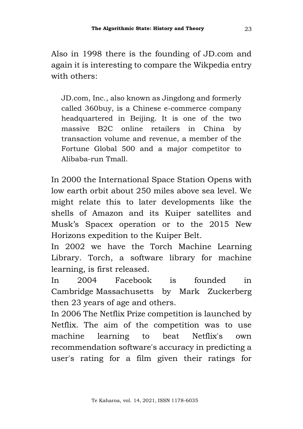Also in 1998 there is the founding of JD.com and again it is interesting to compare the Wikpedia entry with others:

JD.com, Inc., also known as Jingdong and formerly called 360buy, is a Chinese e-commerce company headquartered in Beijing. It is one of the two massive B2C online retailers in China by transaction volume and revenue, a member of the Fortune Global 500 and a major competitor to Alibaba-run Tmall.

In 2000 the International Space Station Opens with low earth orbit about 250 miles above sea level. We might relate this to later developments like the shells of Amazon and its Kuiper satellites and Musk's Spacex operation or to the 2015 New Horizons expedition to the Kuiper Belt.

In 2002 we have the Torch Machine Learning Library. Torch, a software library for machine learning, is first released.

In 2004 Facebook is founded in Cambridge Massachusetts by Mark Zuckerberg then 23 years of age and others.

In 2006 The Netflix Prize competition is launched by Netflix. The aim of the competition was to use machine learning to beat Netflix's own recommendation software's accuracy in predicting a user's rating for a film given their ratings for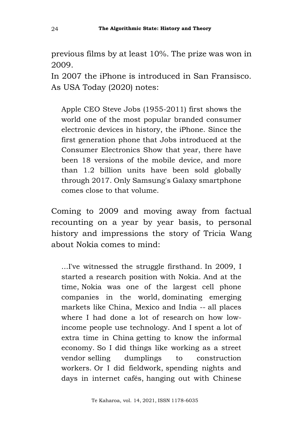previous films by at least 10%. The prize was won in 2009.

In 2007 the iPhone is introduced in San Fransisco. As USA Today (2020) notes:

Apple CEO Steve Jobs (1955-2011) first shows the world one of the most popular branded consumer electronic devices in history, the iPhone. Since the first generation phone that Jobs introduced at the Consumer Electronics Show that year, there have been 18 versions of the mobile device, and more than 1.2 billion units have been sold globally through 2017. Only Samsung's Galaxy smartphone comes close to that volume.

Coming to 2009 and moving away from factual recounting on a year by year basis, to personal history and impressions the story of Tricia Wang about Nokia comes to mind:

...I've witnessed the struggle firsthand. In 2009, I started a research position with Nokia. And at the time, Nokia was one of the largest cell phone companies in the world, dominating emerging markets like China, Mexico and India -- all places where I had done a lot of research on how lowincome people use technology. And I spent a lot of extra time in China getting to know the informal economy. So I did things like working as a street vendor selling dumplings to construction workers. Or I did fieldwork, spending nights and days in internet cafés, hanging out with Chinese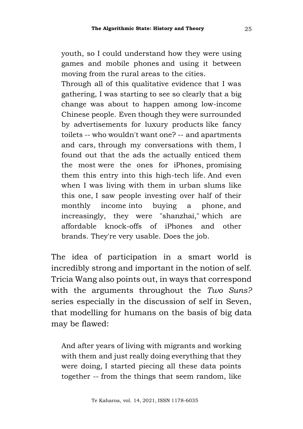youth, so I could understand how they were using games and mobile phones and using it between moving from the rural areas to the cities.

Through all of this qualitative evidence that I was gathering, I was starting to see so clearly that a big change was about to happen among low-income Chinese people. Even though they were surrounded by advertisements for luxury products like fancy toilets -- who wouldn't want one? -- and apartments and cars, through my conversations with them, I found out that the ads the actually enticed them the most were the ones for iPhones, promising them this entry into this high-tech life. And even when I was living with them in urban slums like this one, I saw people investing over half of their monthly income into buying a phone, and increasingly, they were "shanzhai," which are affordable knock-offs of iPhones and other brands. They're very usable. Does the job.

The idea of participation in a smart world is incredibly strong and important in the notion of self. Tricia Wang also points out, in ways that correspond with the arguments throughout the *Two Suns?* series especially in the discussion of self in Seven, that modelling for humans on the basis of big data may be flawed:

And after years of living with migrants and working with them and just really doing everything that they were doing, I started piecing all these data points together -- from the things that seem random, like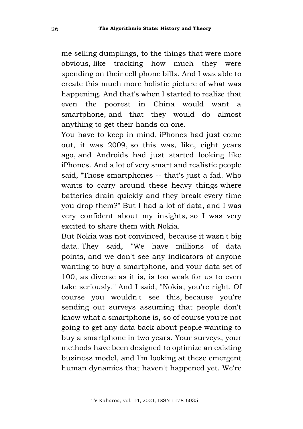me selling dumplings, to the things that were more obvious, like tracking how much they were spending on their cell phone bills. And I was able to create this much more holistic picture of what was happening. And that's when I started to realize that even the poorest in China would want a smartphone, and that they would do almost anything to get their hands on one.

You have to keep in mind, iPhones had just come out, it was 2009, so this was, like, eight years ago, and Androids had just started looking like iPhones. And a lot of very smart and realistic people said, "Those smartphones -- that's just a fad. Who wants to carry around these heavy things where batteries drain quickly and they break every time you drop them?" But I had a lot of data, and I was very confident about my insights, so I was very excited to share them with Nokia.

But Nokia was not convinced, because it wasn't big data. They said, "We have millions of data points, and we don't see any indicators of anyone wanting to buy a smartphone, and your data set of 100, as diverse as it is, is too weak for us to even take seriously." And I said, "Nokia, you're right. Of course you wouldn't see this, because you're sending out surveys assuming that people don't know what a smartphone is, so of course you're not going to get any data back about people wanting to buy a smartphone in two years. Your surveys, your methods have been designed to optimize an existing business model, and I'm looking at these emergent human dynamics that haven't happened yet. We're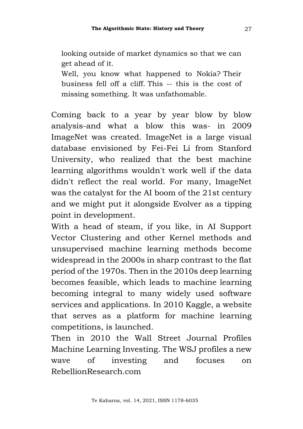looking outside of market dynamics so that we can get ahead of it.

Well, you know what happened to Nokia? Their business fell off a cliff. This -- this is the cost of missing something. It was unfathomable.

Coming back to a year by year blow by blow analysis-and what a blow this was- in 2009 ImageNet was created. ImageNet is a large visual database envisioned by Fei-Fei Li from Stanford University, who realized that the best machine learning algorithms wouldn't work well if the data didn't reflect the real world. For many, ImageNet was the catalyst for the AI boom of the 21st century and we might put it alongside Evolver as a tipping point in development.

With a head of steam, if you like, in AI Support Vector Clustering and other Kernel methods and unsupervised machine learning methods become widespread in the 2000s in sharp contrast to the flat period of the 1970s. Then in the 2010s deep learning becomes feasible, which leads to machine learning becoming integral to many widely used software services and applications. In 2010 Kaggle, a website that serves as a platform for machine learning competitions, is launched.

Then in 2010 the Wall Street Journal Profiles Machine Learning Investing. The WSJ profiles a new wave of investing and focuses on RebellionResearch.com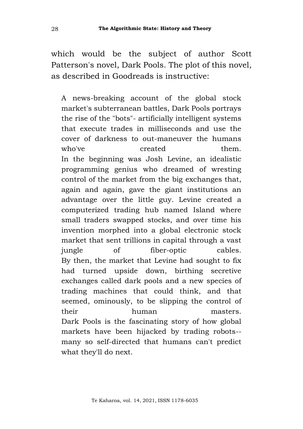which would be the subject of author Scott Patterson's novel, Dark Pools. The plot of this novel, as described in Goodreads is instructive:

A news-breaking account of the global stock market's subterranean battles, Dark Pools portrays the rise of the "bots"- artificially intelligent systems that execute trades in milliseconds and use the cover of darkness to out-maneuver the humans who've created them. In the beginning was Josh Levine, an idealistic programming genius who dreamed of wresting control of the market from the big exchanges that, again and again, gave the giant institutions an advantage over the little guy. Levine created a computerized trading hub named Island where small traders swapped stocks, and over time his invention morphed into a global electronic stock market that sent trillions in capital through a vast jungle of fiber-optic cables. By then, the market that Levine had sought to fix had turned upside down, birthing secretive exchanges called dark pools and a new species of trading machines that could think, and that seemed, ominously, to be slipping the control of their human masters. Dark Pools is the fascinating story of how global markets have been hijacked by trading robots- many so self-directed that humans can't predict what they'll do next.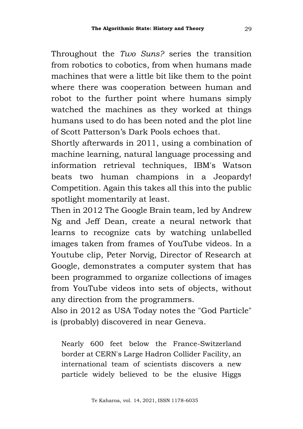Throughout the *Two Suns?* series the transition from robotics to cobotics, from when humans made machines that were a little bit like them to the point where there was cooperation between human and robot to the further point where humans simply watched the machines as they worked at things humans used to do has been noted and the plot line of Scott Patterson's Dark Pools echoes that.

Shortly afterwards in 2011, using a combination of machine learning, natural language processing and information retrieval techniques, IBM's Watson beats two human champions in a Jeopardy! Competition. Again this takes all this into the public spotlight momentarily at least.

Then in 2012 The Google Brain team, led by Andrew Ng and Jeff Dean, create a neural network that learns to recognize cats by watching unlabelled images taken from frames of YouTube videos. In a Youtube clip, Peter Norvig, Director of Research at Google, demonstrates a computer system that has been programmed to organize collections of images from YouTube videos into sets of objects, without any direction from the programmers.

Also in 2012 as USA Today notes the "God Particle" is (probably) discovered in near Geneva.

Nearly 600 feet below the France-Switzerland border at CERN's Large Hadron Collider Facility, an international team of scientists discovers a new particle widely believed to be the elusive Higgs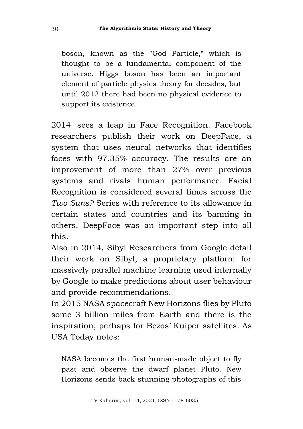boson, known as the "God Particle," which is thought to be a fundamental component of the universe. Higgs boson has been an important element of particle physics theory for decades, but until 2012 there had been no physical evidence to support its existence.

2014 sees a leap in Face Recognition. Facebook researchers publish their work on DeepFace, a system that uses neural networks that identifies faces with 97.35% accuracy. The results are an improvement of more than 27% over previous systems and rivals human performance. Facial Recognition is considered several times across the *Two Suns?* Series with reference to its allowance in certain states and countries and its banning in others. DeepFace was an important step into all this.

Also in 2014, Sibyl Researchers from Google detail their work on Sibyl, a proprietary platform for massively parallel machine learning used internally by Google to make predictions about user behaviour and provide recommendations.

In 2015 NASA spacecraft New Horizons flies by Pluto some 3 billion miles from Earth and there is the inspiration, perhaps for Bezos' Kuiper satellites. As USA Today notes:

NASA becomes the first human-made object to fly past and observe the dwarf planet Pluto. New Horizons sends back stunning photographs of this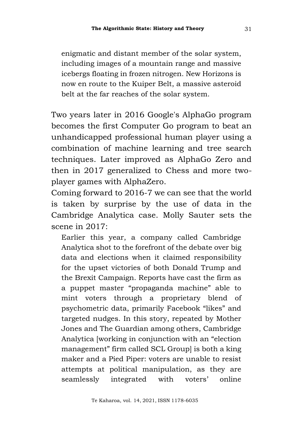enigmatic and distant member of the solar system, including images of a mountain range and massive icebergs floating in frozen nitrogen. New Horizons is now en route to the Kuiper Belt, a massive asteroid belt at the far reaches of the solar system.

Two years later in 2016 Google's AlphaGo program becomes the first Computer Go program to beat an unhandicapped professional human player using a combination of machine learning and tree search techniques. Later improved as AlphaGo Zero and then in 2017 generalized to Chess and more twoplayer games with AlphaZero.

Coming forward to 2016-7 we can see that the world is taken by surprise by the use of data in the Cambridge Analytica case. Molly Sauter sets the scene in 2017:

Earlier this year, a company called Cambridge Analytica shot to the forefront of the debate over big data and elections when it claimed responsibility for the upset victories of both Donald Trump and the Brexit Campaign. Reports have cast the firm as a puppet master "propaganda machine" able to mint voters through a proprietary blend of psychometric data, primarily Facebook "likes" and targeted nudges. In this story, repeated by Mother Jones and The Guardian among others, Cambridge Analytica [working in conjunction with an "election management" firm called SCL Group] is both a king maker and a Pied Piper: voters are unable to resist attempts at political manipulation, as they are seamlessly integrated with voters' online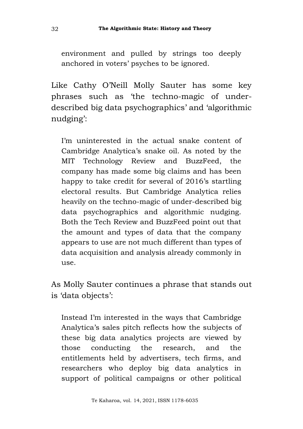environment and pulled by strings too deeply anchored in voters' psyches to be ignored.

Like Cathy O'Neill Molly Sauter has some key phrases such as 'the techno-magic of underdescribed big data psychographics' and 'algorithmic nudging':

I'm uninterested in the actual snake content of Cambridge Analytica's snake oil. As noted by the MIT Technology Review and BuzzFeed, the company has made some big claims and has been happy to take credit for several of 2016's startling electoral results. But Cambridge Analytica relies heavily on the techno-magic of under-described big data psychographics and algorithmic nudging. Both the Tech Review and BuzzFeed point out that the amount and types of data that the company appears to use are not much different than types of data acquisition and analysis already commonly in use.

As Molly Sauter continues a phrase that stands out is 'data objects':

Instead I'm interested in the ways that Cambridge Analytica's sales pitch reflects how the subjects of these big data analytics projects are viewed by those conducting the research, and the entitlements held by advertisers, tech firms, and researchers who deploy big data analytics in support of political campaigns or other political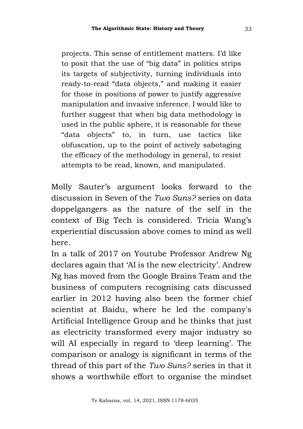projects. This sense of entitlement matters. I'd like to posit that the use of "big data" in politics strips its targets of subjectivity, turning individuals into ready-to-read "data objects," and making it easier for those in positions of power to justify aggressive manipulation and invasive inference. I would like to further suggest that when big data methodology is used in the public sphere, it is reasonable for these "data objects" to, in turn, use tactics like obfuscation, up to the point of actively sabotaging the efficacy of the methodology in general, to resist attempts to be read, known, and manipulated.

Molly Sauter's argument looks forward to the discussion in Seven of the *Two Suns?* series on data doppelgangers as the nature of the self in the context of Big Tech is considered. Tricia Wang's experiential discussion above comes to mind as well here.

In a talk of 2017 on Youtube Professor Andrew Ng declares again that 'AI is the new electricity'. Andrew Ng has moved from the Google Brains Team and the business of computers recognising cats discussed earlier in 2012 having also been the former chief scientist at Baidu, where he led the company's Artificial Intelligence Group and he thinks that just as electricity transformed every major industry so will AI especially in regard to 'deep learning'. The comparison or analogy is significant in terms of the thread of this part of the *Two Suns?* series in that it shows a worthwhile effort to organise the mindset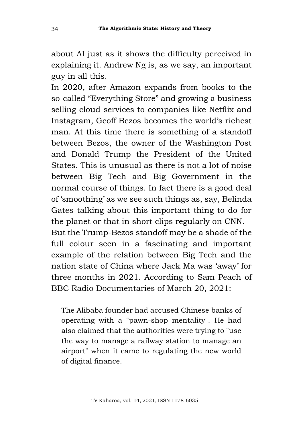about AI just as it shows the difficulty perceived in explaining it. Andrew Ng is, as we say, an important guy in all this.

In 2020, after Amazon expands from books to the so-called "Everything Store" and growing a business selling cloud services to companies like Netflix and Instagram, Geoff Bezos becomes the world's richest man. At this time there is something of a standoff between Bezos, the owner of the Washington Post and Donald Trump the President of the United States. This is unusual as there is not a lot of noise between Big Tech and Big Government in the normal course of things. In fact there is a good deal of 'smoothing' as we see such things as, say, Belinda Gates talking about this important thing to do for the planet or that in short clips regularly on CNN. But the Trump-Bezos standoff may be a shade of the full colour seen in a fascinating and important example of the relation between Big Tech and the nation state of China where Jack Ma was 'away' for three months in 2021. According to Sam Peach of BBC Radio Documentaries of March 20, 2021:

The Alibaba founder had accused Chinese banks of operating with a "pawn-shop mentality". He had also claimed that the authorities were trying to "use the way to manage a railway station to manage an airport" when it came to regulating the new world of digital finance.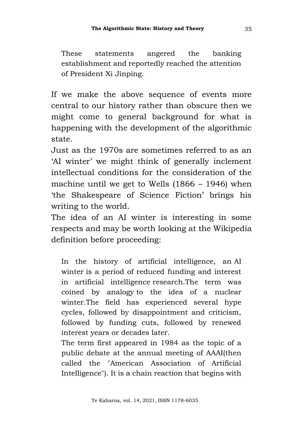These statements angered the banking establishment and reportedly reached the attention of President Xi Jinping.

If we make the above sequence of events more central to our history rather than obscure then we might come to general background for what is happening with the development of the algorithmic state.

Just as the 1970s are sometimes referred to as an 'AI winter' we might think of generally inclement intellectual conditions for the consideration of the machine until we get to Wells (1866 – 1946) when 'the Shakespeare of Science Fiction' brings his writing to the world.

The idea of an AI winter is interesting in some respects and may be worth looking at the Wikipedia definition before proceeding:

In the history of artificial intelligence, an AI winter is a period of reduced funding and interest in artificial intelligence research.The term was coined by analogy to the idea of a nuclear winter.The field has experienced several hype cycles, followed by disappointment and criticism, followed by funding cuts, followed by renewed interest years or decades later.

The term first appeared in 1984 as the topic of a public debate at the annual meeting of AAAI(then called the "American Association of Artificial Intelligence"). It is a chain reaction that begins with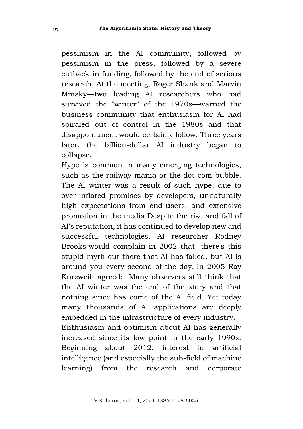pessimism in the AI community, followed by pessimism in the press, followed by a severe cutback in funding, followed by the end of serious research. At the meeting, Roger Shank and Marvin Minsky—two leading AI researchers who had survived the "winter" of the 1970s—warned the business community that enthusiasm for AI had spiraled out of control in the 1980s and that disappointment would certainly follow. Three years later, the billion-dollar AI industry began to collapse.

Hype is common in many emerging technologies, such as the railway mania or the dot-com bubble. The AI winter was a result of such hype, due to over-inflated promises by developers, unnaturally high expectations from end-users, and extensive promotion in the media Despite the rise and fall of AI's reputation, it has continued to develop new and successful technologies. AI researcher Rodney Brooks would complain in 2002 that "there's this stupid myth out there that AI has failed, but AI is around you every second of the day. In 2005 Ray Kurzweil, agreed: "Many observers still think that the AI winter was the end of the story and that nothing since has come of the AI field. Yet today many thousands of AI applications are deeply embedded in the infrastructure of every industry. Enthusiasm and optimism about AI has generally increased since its low point in the early 1990s. Beginning about 2012, interest in artificial intelligence (and especially the sub-field of machine learning) from the research and corporate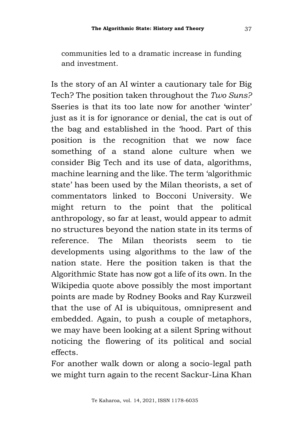communities led to a dramatic increase in funding and investment.

Is the story of an AI winter a cautionary tale for Big Tech? The position taken throughout the *Two Suns?* Sseries is that its too late now for another 'winter' just as it is for ignorance or denial, the cat is out of the bag and established in the 'hood. Part of this position is the recognition that we now face something of a stand alone culture when we consider Big Tech and its use of data, algorithms, machine learning and the like. The term 'algorithmic state' has been used by the Milan theorists, a set of commentators linked to Bocconi University. We might return to the point that the political anthropology, so far at least, would appear to admit no structures beyond the nation state in its terms of reference. The Milan theorists seem to tie developments using algorithms to the law of the nation state. Here the position taken is that the Algorithmic State has now got a life of its own. In the Wikipedia quote above possibly the most important points are made by Rodney Books and Ray Kurzweil that the use of AI is ubiquitous, omnipresent and embedded. Again, to push a couple of metaphors, we may have been looking at a silent Spring without noticing the flowering of its political and social effects.

For another walk down or along a socio-legal path we might turn again to the recent Sackur-Lina Khan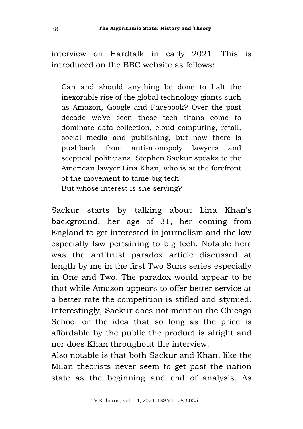interview on Hardtalk in early 2021. This is introduced on the BBC website as follows:

Can and should anything be done to halt the inexorable rise of the global technology giants such as Amazon, Google and Facebook? Over the past decade we've seen these tech titans come to dominate data collection, cloud computing, retail, social media and publishing, but now there is pushback from anti-monopoly lawyers and sceptical politicians. Stephen Sackur speaks to the American lawyer Lina Khan, who is at the forefront of the movement to tame big tech. But whose interest is she serving?

Sackur starts by talking about Lina Khan's background, her age of 31, her coming from England to get interested in journalism and the law especially law pertaining to big tech. Notable here was the antitrust paradox article discussed at length by me in the first Two Suns series especially in One and Two. The paradox would appear to be that while Amazon appears to offer better service at a better rate the competition is stifled and stymied. Interestingly, Sackur does not mention the Chicago School or the idea that so long as the price is affordable by the public the product is alright and nor does Khan throughout the interview.

Also notable is that both Sackur and Khan, like the Milan theorists never seem to get past the nation state as the beginning and end of analysis. As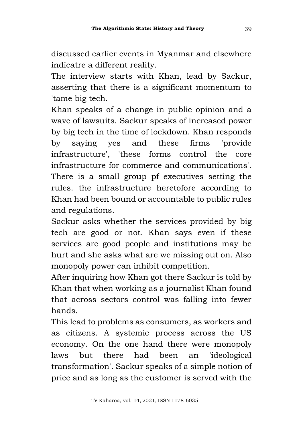discussed earlier events in Myanmar and elsewhere indicatre a different reality.

The interview starts with Khan, lead by Sackur, asserting that there is a significant momentum to 'tame big tech.

Khan speaks of a change in public opinion and a wave of lawsuits. Sackur speaks of increased power by big tech in the time of lockdown. Khan responds by saying yes and these firms 'provide infrastructure', 'these forms control the core infrastructure for commerce and communications'. There is a small group pf executives setting the rules. the infrastructure heretofore according to Khan had been bound or accountable to public rules and regulations.

Sackur asks whether the services provided by big tech are good or not. Khan says even if these services are good people and institutions may be hurt and she asks what are we missing out on. Also monopoly power can inhibit competition.

After inquiring how Khan got there Sackur is told by Khan that when working as a journalist Khan found that across sectors control was falling into fewer hands.

This lead to problems as consumers, as workers and as citizens. A systemic process across the US economy. On the one hand there were monopoly laws but there had been an 'ideological transformation'. Sackur speaks of a simple notion of price and as long as the customer is served with the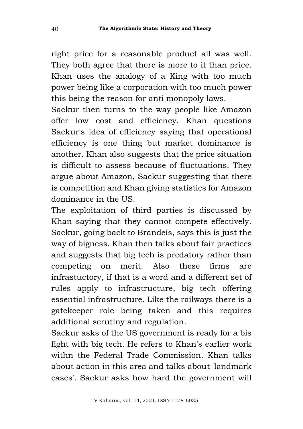right price for a reasonable product all was well. They both agree that there is more to it than price. Khan uses the analogy of a King with too much power being like a corporation with too much power this being the reason for anti monopoly laws.

Sackur then turns to the way people like Amazon offer low cost and efficiency. Khan questions Sackur's idea of efficiency saying that operational efficiency is one thing but market dominance is another. Khan also suggests that the price situation is difficult to assess because of fluctuations. They argue about Amazon, Sackur suggesting that there is competition and Khan giving statistics for Amazon dominance in the US.

The exploitation of third parties is discussed by Khan saying that they cannot compete effectively. Sackur, going back to Brandeis, says this is just the way of bigness. Khan then talks about fair practices and suggests that big tech is predatory rather than competing on merit. Also these firms are infrastuctory, if that is a word and a different set of rules apply to infrastructure, big tech offering essential infrastructure. Like the railways there is a gatekeeper role being taken and this requires additional scrutiny and regulation.

Sackur asks of the US government is ready for a bis fight with big tech. He refers to Khan's earlier work withn the Federal Trade Commission. Khan talks about action in this area and talks about 'landmark cases'. Sackur asks how hard the government will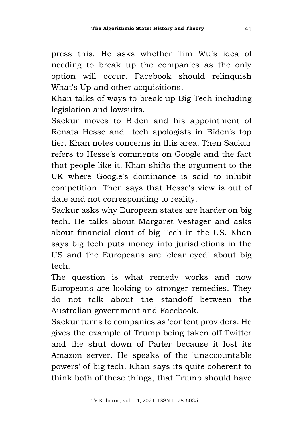press this. He asks whether Tim Wu's idea of needing to break up the companies as the only option will occur. Facebook should relinquish What's Up and other acquisitions.

Khan talks of ways to break up Big Tech including legislation and lawsuits.

Sackur moves to Biden and his appointment of Renata Hesse and tech apologists in Biden's top tier. Khan notes concerns in this area. Then Sackur refers to Hesse's comments on Google and the fact that people like it. Khan shifts the argument to the UK where Google's dominance is said to inhibit competition. Then says that Hesse's view is out of date and not corresponding to reality.

Sackur asks why European states are harder on big tech. He talks about Margaret Vestager and asks about financial clout of big Tech in the US. Khan says big tech puts money into jurisdictions in the US and the Europeans are 'clear eyed' about big tech.

The question is what remedy works and now Europeans are looking to stronger remedies. They do not talk about the standoff between the Australian government and Facebook.

Sackur turns to companies as 'content providers. He gives the example of Trump being taken off Twitter and the shut down of Parler because it lost its Amazon server. He speaks of the 'unaccountable powers' of big tech. Khan says its quite coherent to think both of these things, that Trump should have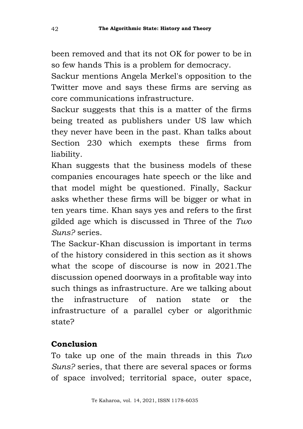been removed and that its not OK for power to be in so few hands This is a problem for democracy.

Sackur mentions Angela Merkel's opposition to the Twitter move and says these firms are serving as core communications infrastructure.

Sackur suggests that this is a matter of the firms being treated as publishers under US law which they never have been in the past. Khan talks about Section 230 which exempts these firms from liability.

Khan suggests that the business models of these companies encourages hate speech or the like and that model might be questioned. Finally, Sackur asks whether these firms will be bigger or what in ten years time. Khan says yes and refers to the first gilded age which is discussed in Three of the *Two Suns?* series.

The Sackur-Khan discussion is important in terms of the history considered in this section as it shows what the scope of discourse is now in 2021.The discussion opened doorways in a profitable way into such things as infrastructure. Are we talking about the infrastructure of nation state or the infrastructure of a parallel cyber or algorithmic state?

## **Conclusion**

To take up one of the main threads in this *Two Suns?* series, that there are several spaces or forms of space involved; territorial space, outer space,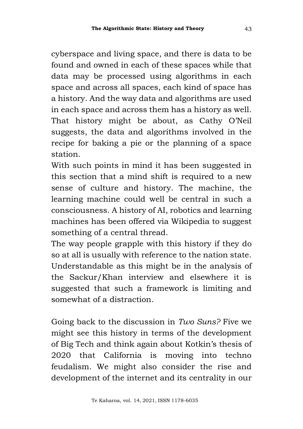cyberspace and living space, and there is data to be found and owned in each of these spaces while that data may be processed using algorithms in each space and across all spaces, each kind of space has a history. And the way data and algorithms are used in each space and across them has a history as well. That history might be about, as Cathy O'Neil suggests, the data and algorithms involved in the recipe for baking a pie or the planning of a space station.

With such points in mind it has been suggested in this section that a mind shift is required to a new sense of culture and history. The machine, the learning machine could well be central in such a consciousness. A history of AI, robotics and learning machines has been offered via Wikipedia to suggest something of a central thread.

The way people grapple with this history if they do so at all is usually with reference to the nation state. Understandable as this might be in the analysis of the Sackur/Khan interview and elsewhere it is suggested that such a framework is limiting and somewhat of a distraction.

Going back to the discussion in *Two Suns?* Five we might see this history in terms of the development of Big Tech and think again about Kotkin's thesis of 2020 that California is moving into techno feudalism. We might also consider the rise and development of the internet and its centrality in our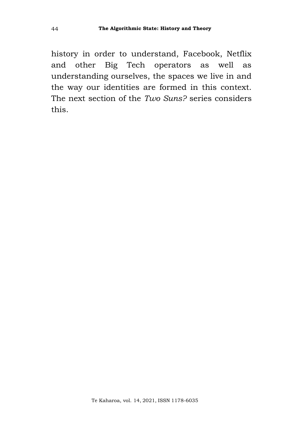history in order to understand, Facebook, Netflix and other Big Tech operators as well as understanding ourselves, the spaces we live in and the way our identities are formed in this context. The next section of the *Two Suns?* series considers this.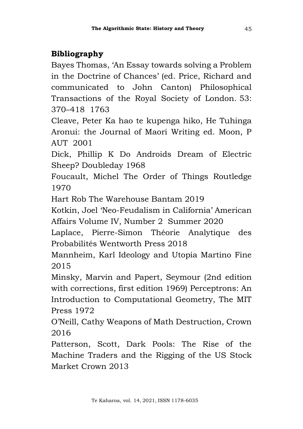## **Bibliography**

Bayes Thomas, 'An Essay towards solving a Problem in the Doctrine of Chances' (ed. Price, Richard and communicated to John Canton) Philosophical Transactions of the Royal Society of London. 53: 370–418 1763

Cleave, Peter Ka hao te kupenga hiko, He Tuhinga Aronui: the Journal of Maori Writing ed. Moon, P AUT 2001

Dick, Phillip K Do Androids Dream of Electric Sheep? Doubleday 1968

Foucault, Michel The Order of Things Routledge 1970

Hart Rob The Warehouse Bantam 2019

Kotkin, Joel 'Neo-Feudalism in California' American Affairs Volume IV, Number 2 Summer 2020

Laplace, Pierre-Simon Théorie Analytique des Probabilités Wentworth Press 2018

Mannheim, Karl Ideology and Utopia Martino Fine 2015

Minsky, Marvin and Papert, Seymour (2nd edition with corrections, first edition 1969) Perceptrons: An Introduction to Computational Geometry, The MIT Press 1972

O'Neill, Cathy Weapons of Math Destruction, Crown 2016

Patterson, Scott, Dark Pools: The Rise of the Machine Traders and the Rigging of the US Stock Market Crown 2013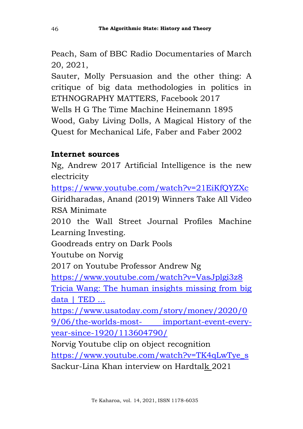Peach, Sam of BBC Radio Documentaries of March 20, 2021,

Sauter, Molly Persuasion and the other thing: A critique of big data methodologies in politics in ETHNOGRAPHY MATTERS, Facebook 2017 Wells H G The Time Machine Heinemann 1895 Wood, Gaby Living Dolls, A Magical History of the Quest for Mechanical Life, Faber and Faber 2002

## **Internet sources**

Ng, Andrew 2017 Artificial Intelligence is the new electricity

<https://www.youtube.com/watch?v=21EiKfQYZXc> Giridharadas, Anand (2019) Winners Take All Video RSA Minimate

2010 the Wall Street Journal Profiles Machine Learning Investing.

Goodreads entry on Dark Pools

Youtube on Norvig

2017 on Youtube Professor Andrew Ng

<https://www.youtube.com/watch?v=VasJplgi3z8>

[Tricia Wang: The human insights missing from big](https://www.google.com/url?sa=t&rct=j&q=&esrc=s&source=web&cd=&cad=rja&uact=8&ved=2ahUKEwjo863ryu3vAhWxxzgGHZWQBNsQtwIwAHoECAIQAw&url=https%3A%2F%2Fwww.ted.com%2Ftalks%2Ftricia_wang_the_human_insights_missing_from_big_data%2Ftranscript%3Flanguage%3Den&usg=AOvVaw3Ams9fnX5MO4gAcFct0WD2)  [data | TED ...](https://www.google.com/url?sa=t&rct=j&q=&esrc=s&source=web&cd=&cad=rja&uact=8&ved=2ahUKEwjo863ryu3vAhWxxzgGHZWQBNsQtwIwAHoECAIQAw&url=https%3A%2F%2Fwww.ted.com%2Ftalks%2Ftricia_wang_the_human_insights_missing_from_big_data%2Ftranscript%3Flanguage%3Den&usg=AOvVaw3Ams9fnX5MO4gAcFct0WD2)

[https://www.usatoday.com/story/money/2020/0](https://www.google.com/url?sa=t&rct=j&q=&esrc=s&source=web&cd=&cad=rja&uact=8&ved=2ahUKEwjo863ryu3vAhWxxzgGHZWQBNsQtwIwAHoECAIQAw&url=https%3A%2F%2Fwww.ted.com%2Ftalks%2Ftricia_wang_the_human_insights_missing_from_big_data%2Ftranscript%3Flanguage%3Den&usg=AOvVaw3Ams9fnX5MO4gAcFct0WD2) [9/06/the-worlds-most-](https://www.google.com/url?sa=t&rct=j&q=&esrc=s&source=web&cd=&cad=rja&uact=8&ved=2ahUKEwjo863ryu3vAhWxxzgGHZWQBNsQtwIwAHoECAIQAw&url=https%3A%2F%2Fwww.ted.com%2Ftalks%2Ftricia_wang_the_human_insights_missing_from_big_data%2Ftranscript%3Flanguage%3Den&usg=AOvVaw3Ams9fnX5MO4gAcFct0WD2) [important-event-every](https://www.google.com/url?sa=t&rct=j&q=&esrc=s&source=web&cd=&cad=rja&uact=8&ved=2ahUKEwjo863ryu3vAhWxxzgGHZWQBNsQtwIwAHoECAIQAw&url=https%3A%2F%2Fwww.ted.com%2Ftalks%2Ftricia_wang_the_human_insights_missing_from_big_data%2Ftranscript%3Flanguage%3Den&usg=AOvVaw3Ams9fnX5MO4gAcFct0WD2)[year-since-1920/113604790/](https://www.google.com/url?sa=t&rct=j&q=&esrc=s&source=web&cd=&cad=rja&uact=8&ved=2ahUKEwjo863ryu3vAhWxxzgGHZWQBNsQtwIwAHoECAIQAw&url=https%3A%2F%2Fwww.ted.com%2Ftalks%2Ftricia_wang_the_human_insights_missing_from_big_data%2Ftranscript%3Flanguage%3Den&usg=AOvVaw3Ams9fnX5MO4gAcFct0WD2)

Norvig Youtube clip on object recognition

[https://www.youtube.com/watch?v=TK4qLwTye\\_s](https://www.youtube.com/watch?v=TK4qLwTye_s) Sackur-Lina Khan interview on Hardtalk 2021